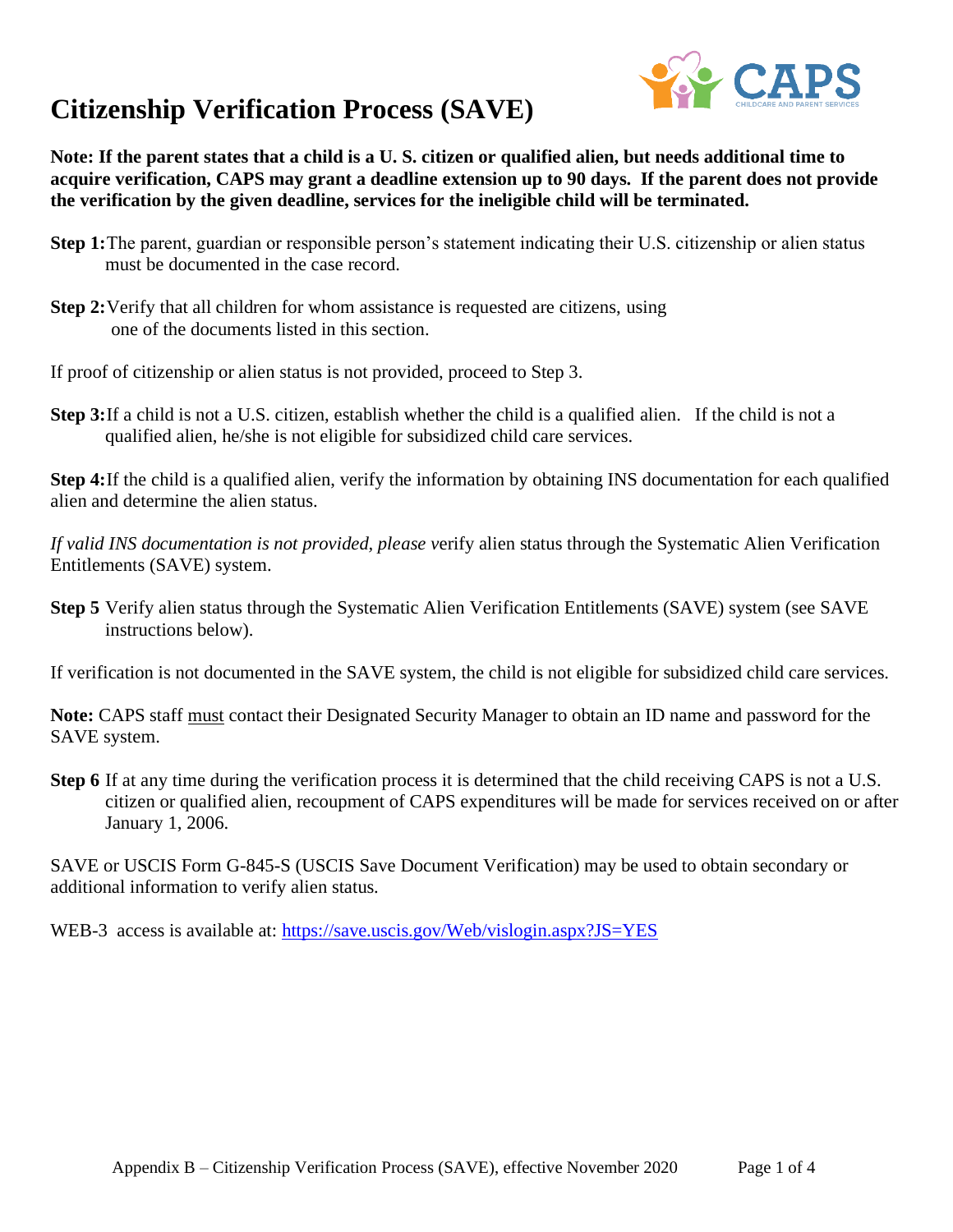

**Note: If the parent states that a child is a U. S. citizen or qualified alien, but needs additional time to acquire verification, CAPS may grant a deadline extension up to 90 days. If the parent does not provide the verification by the given deadline, services for the ineligible child will be terminated.**

- **Step 1:**The parent, guardian or responsible person's statement indicating their U.S. citizenship or alien status must be documented in the case record.
- **Step 2:** Verify that all children for whom assistance is requested are citizens, using one of the documents listed in this section.

If proof of citizenship or alien status is not provided, proceed to Step 3.

**Step 3:**If a child is not a U.S. citizen, establish whether the child is a qualified alien. If the child is not a qualified alien, he/she is not eligible for subsidized child care services.

**Step 4:**If the child is a qualified alien, verify the information by obtaining INS documentation for each qualified alien and determine the alien status.

*If valid INS documentation is not provided, please v*erify alien status through the Systematic Alien Verification Entitlements (SAVE) system.

**Step 5** Verify alien status through the Systematic Alien Verification Entitlements (SAVE) system (see SAVE instructions below).

If verification is not documented in the SAVE system, the child is not eligible for subsidized child care services.

**Note:** CAPS staff must contact their Designated Security Manager to obtain an ID name and password for the SAVE system.

**Step 6** If at any time during the verification process it is determined that the child receiving CAPS is not a U.S. citizen or qualified alien, recoupment of CAPS expenditures will be made for services received on or after January 1, 2006.

SAVE or USCIS Form G-845-S (USCIS Save Document Verification) may be used to obtain secondary or additional information to verify alien status.

WEB-3 access is available at:<https://save.uscis.gov/Web/vislogin.aspx?JS=YES>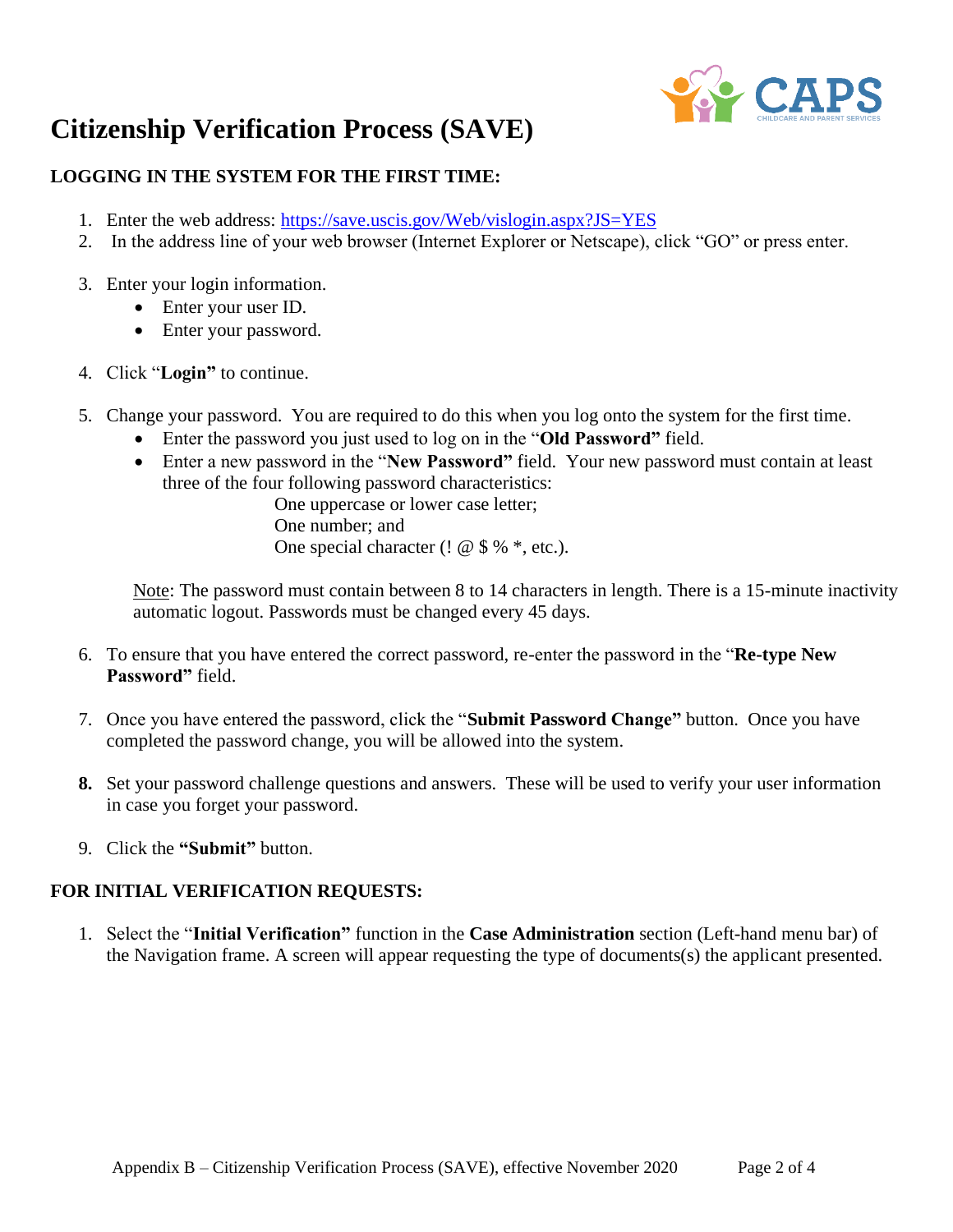

### **LOGGING IN THE SYSTEM FOR THE FIRST TIME:**

- 1. Enter the web address:<https://save.uscis.gov/Web/vislogin.aspx?JS=YES>
- 2. In the address line of your web browser (Internet Explorer or Netscape), click "GO" or press enter.
- 3. Enter your login information.
	- Enter your user ID.
	- Enter your password.
- 4. Click "**Login"** to continue.
- 5. Change your password. You are required to do this when you log onto the system for the first time.
	- Enter the password you just used to log on in the "**Old Password"** field.
	- Enter a new password in the "**New Password"** field. Your new password must contain at least three of the four following password characteristics:

One uppercase or lower case letter; One number; and One special character (!  $@$  \$ %  $*$ , etc.).

Note: The password must contain between 8 to 14 characters in length. There is a 15-minute inactivity automatic logout. Passwords must be changed every 45 days.

- 6. To ensure that you have entered the correct password, re-enter the password in the "**Re-type New Password"** field.
- 7. Once you have entered the password, click the "**Submit Password Change"** button. Once you have completed the password change, you will be allowed into the system.
- **8.** Set your password challenge questions and answers. These will be used to verify your user information in case you forget your password.
- 9. Click the **"Submit"** button.

#### **FOR INITIAL VERIFICATION REQUESTS:**

1. Select the "**Initial Verification"** function in the **Case Administration** section (Left-hand menu bar) of the Navigation frame. A screen will appear requesting the type of documents(s) the applicant presented.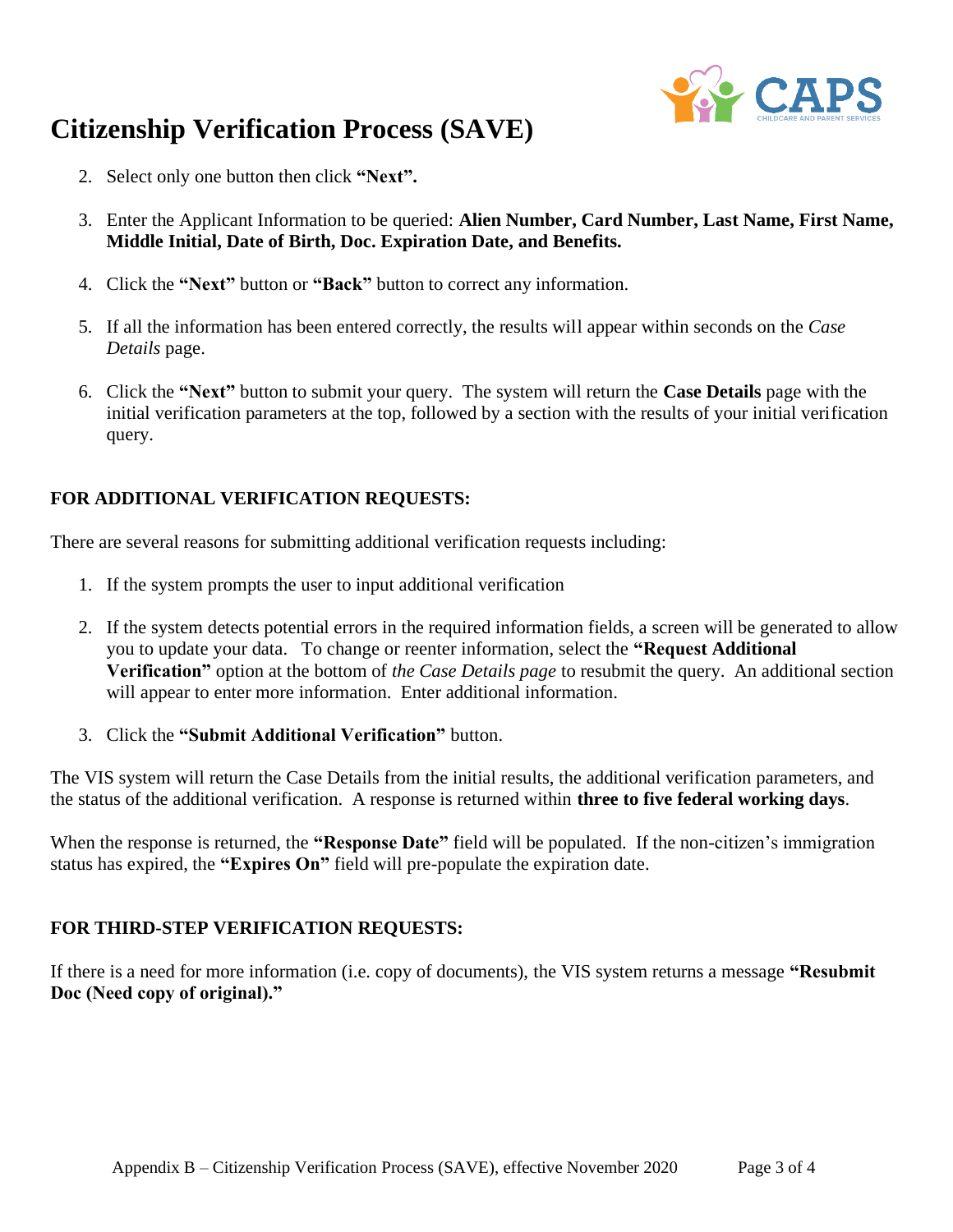

- 2. Select only one button then click **"Next".**
- 3. Enter the Applicant Information to be queried: **Alien Number, Card Number, Last Name, First Name, Middle Initial, Date of Birth, Doc. Expiration Date, and Benefits.**
- 4. Click the **"Next"** button or **"Back"** button to correct any information.
- 5. If all the information has been entered correctly, the results will appear within seconds on the *Case Details* page.
- 6. Click the **"Next"** button to submit your query. The system will return the **Case Details** page with the initial verification parameters at the top, followed by a section with the results of your initial verification query.

### **FOR ADDITIONAL VERIFICATION REQUESTS:**

There are several reasons for submitting additional verification requests including:

- 1. If the system prompts the user to input additional verification
- 2. If the system detects potential errors in the required information fields, a screen will be generated to allow you to update your data. To change or reenter information, select the **"Request Additional Verification"** option at the bottom of *the Case Details page* to resubmit the query. An additional section will appear to enter more information. Enter additional information.
- 3. Click the **"Submit Additional Verification"** button.

The VIS system will return the Case Details from the initial results, the additional verification parameters, and the status of the additional verification. A response is returned within **three to five federal working days**.

When the response is returned, the **"Response Date"** field will be populated. If the non-citizen's immigration status has expired, the **"Expires On"** field will pre-populate the expiration date.

#### **FOR THIRD-STEP VERIFICATION REQUESTS:**

If there is a need for more information (i.e. copy of documents), the VIS system returns a message **"Resubmit Doc (Need copy of original)."**